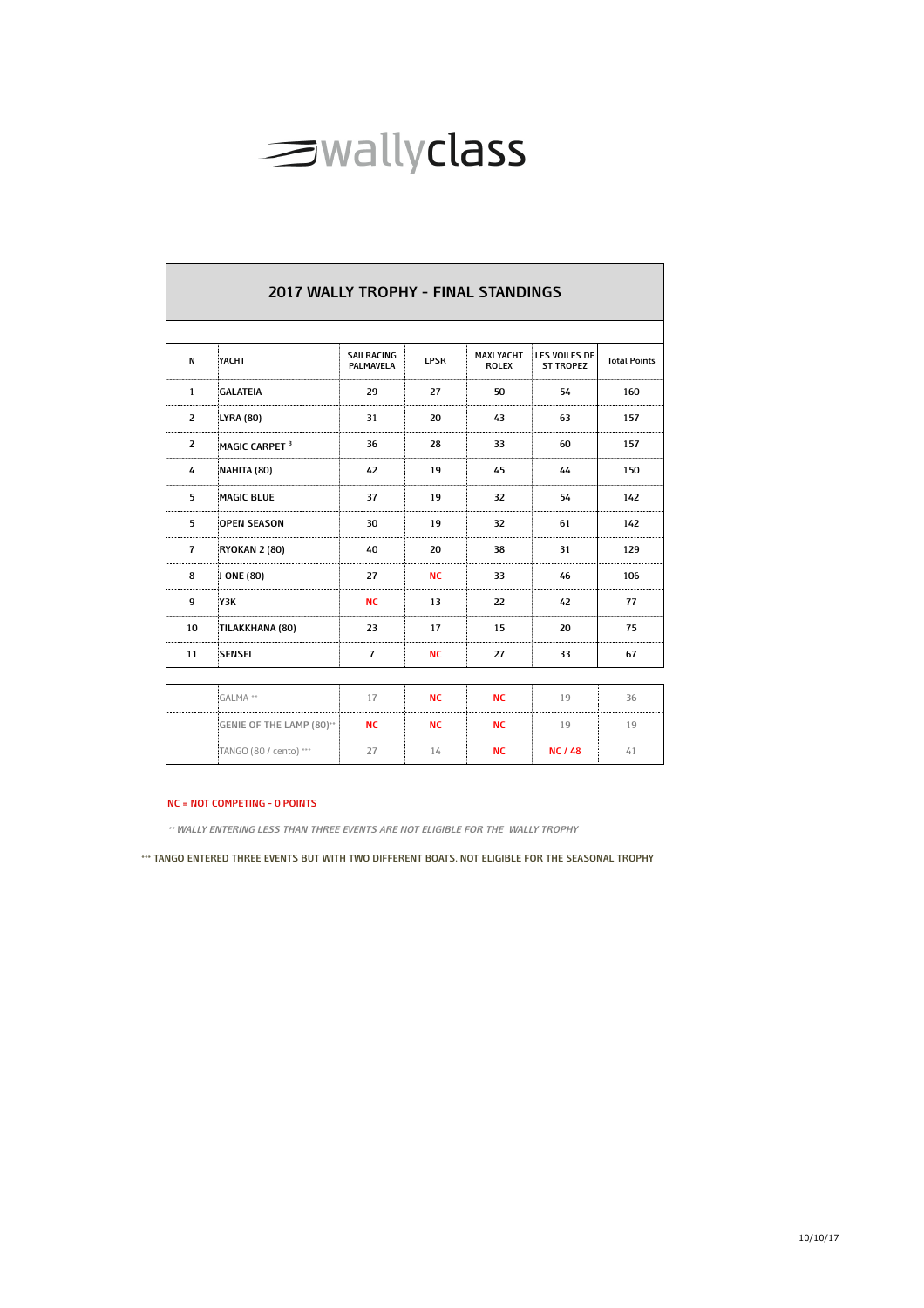

|                | <b>2017 WALLY TROPHY - FINAL STANDINGS</b> |                                |             |                                   |                                   |                     |
|----------------|--------------------------------------------|--------------------------------|-------------|-----------------------------------|-----------------------------------|---------------------|
|                |                                            |                                |             |                                   |                                   |                     |
| N              | YACHT                                      | SAILRACING<br><b>PALMAVELA</b> | <b>LPSR</b> | <b>MAXI YACHT</b><br><b>ROLEX</b> | LES VOILES DE<br><b>ST TROPEZ</b> | <b>Total Points</b> |
| $\mathbf{1}$   | <b>GALATEIA</b>                            | 29                             | 27          | 50                                | 54                                | 160                 |
| $\overline{2}$ | <b>LYRA (80)</b>                           | 31                             | 20          | 43                                | 63                                | 157                 |
| 2              | MAGIC CARPET <sup>3</sup>                  | 36                             | 28          | 33                                | 60                                | 157                 |
| 4              | NAHITA (80)                                | 42                             | 19          | 45                                | 44                                | 150                 |
| 5              | <b>MAGIC BLUE</b>                          | 37                             | 19          | 32                                | 54                                | 142                 |
| 5              | <b>OPEN SEASON</b>                         | 30                             | 19          | 32                                | 61                                | 142                 |
| $\overline{7}$ | <b>RYOKAN 2 (80)</b>                       | 40                             | 20          | 38                                | 31                                | 129                 |
| 8              | J ONE (80)                                 | 27                             | <b>NC</b>   | 33                                | 46                                | 106                 |
| 9              | Y3K                                        | <b>NC</b>                      | 13          | 22                                | 42                                | 77                  |
| 10             | TILAKKHANA (80)                            | 23                             | 17          | 15                                | 20                                | 75                  |
| 11             | SENSEI                                     | $\overline{7}$                 | <b>NC</b>   | 27                                | 33                                | 67                  |
|                |                                            |                                |             |                                   |                                   |                     |
|                | GALMA **                                   | 17                             | <b>NC</b>   | <b>NC</b>                         | 19                                | 36                  |
|                | GENIE OF THE LAMP (80)**                   | <b>NC</b>                      | <b>NC</b>   | <b>NC</b>                         | 19                                | 19                  |
|                | TANGO (80 / cento) ***                     | 27                             | 14          | <b>NC</b>                         | <b>NC / 48</b>                    | 41                  |

## **NC = NOT COMPETING - 0 POINTS**

**\*\* WALLY ENTERING LESS THAN THREE EVENTS ARE NOT ELIGIBLE FOR THE WALLY TROPHY**

**\*\*\* TANGO ENTERED THREE EVENTS BUT WITH TWO DIFFERENT BOATS. NOT ELIGIBLE FOR THE SEASONAL TROPHY**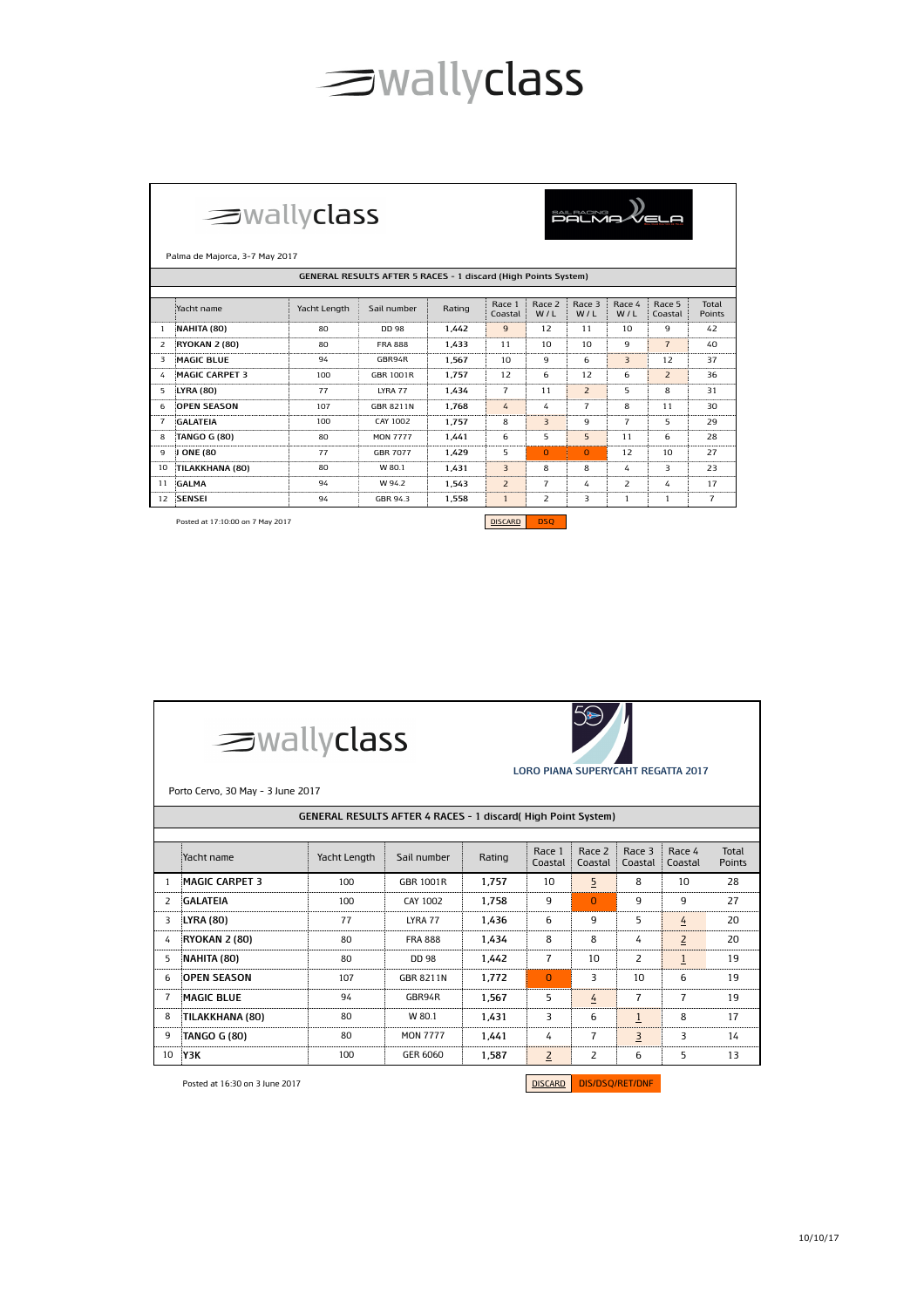## sallyclass

|                | $\equiv$ wallyclass<br><b>SAIL RACING</b><br>PALMA<br>Palma de Majorca, 3-7 May 2017<br>GENERAL RESULTS AFTER 5 RACES - 1 discard (High Points System) |                |                  |        |                   |                |                |                |                   |                 |  |  |
|----------------|--------------------------------------------------------------------------------------------------------------------------------------------------------|----------------|------------------|--------|-------------------|----------------|----------------|----------------|-------------------|-----------------|--|--|
|                |                                                                                                                                                        |                |                  |        |                   |                |                |                |                   |                 |  |  |
|                | Yacht name                                                                                                                                             | Yacht Length   | Sail number      | Rating | Race 1<br>Coastal | Race 2<br>W/L  | Race 3<br>W/L  | Race 4<br>W/L  | Race 5<br>Coastal | Total<br>Points |  |  |
| 1              | NAHITA (80)                                                                                                                                            | 80             | DD 98            | 1.442  | 9                 | 12             | 11             | 10             | 9                 | 42              |  |  |
| 2              | <b>RYOKAN 2 (80)</b>                                                                                                                                   | 80             | <b>FRA 888</b>   | 1,433  | 11                | 10             | 10             | 9              | $\overline{7}$    | 40              |  |  |
| 3              | <b>MAGIC BLUE</b>                                                                                                                                      | 94             | GBR94R           | 1.567  | 10                | 9              | 6              | $\overline{3}$ | 12                | 37              |  |  |
| 4              | <b>MAGIC CARPET 3</b>                                                                                                                                  | 100            | GBR 1001R        | 1.757  | 12                | 6              | 12             | 6              | $\overline{z}$    | 36              |  |  |
| 5              | <b>LYRA (80)</b>                                                                                                                                       | 77             | LYRA 77          | 1.434  | $\overline{7}$    | 11             | $\overline{2}$ | 5              | 8                 | 31              |  |  |
| 6.             | <b>OPEN SEASON</b>                                                                                                                                     | 107            | <b>GBR 8211N</b> | 1.768  | 4                 | 4              | $\overline{7}$ | 8              | 11                | 30              |  |  |
| $\overline{7}$ | <b>GALATEIA</b>                                                                                                                                        | 100            | CAY 1002         | 1.757  | 8                 | $\overline{3}$ | 9              | $\overline{7}$ | 5                 | 29              |  |  |
| 8              | <b>TANGO G (80)</b>                                                                                                                                    | 80             | <b>MON 7777</b>  | 1.441  | 6                 | 5              | 5              | 11             | 6                 | 28              |  |  |
| 9              | J ONE (80                                                                                                                                              | 77             | <b>GBR 7077</b>  | 1.429  | 5                 | $\Omega$       | $\Omega$       | 12             | 10                | 27              |  |  |
| 10             | TILAKKHANA (80)                                                                                                                                        | 80             | W 80.1           | 1,431  | $\overline{3}$    | 8              | 8              | 4              | 3                 | 23              |  |  |
| 11             | GALMA                                                                                                                                                  | 94             | W 94.2           | 1.543  | $\overline{2}$    | $\overline{7}$ | 4              | $\overline{z}$ | 4                 | 17              |  |  |
| 12             | <b>SENSEI</b>                                                                                                                                          | 94             | GBR 94.3         | 1,558  | $\mathbf{1}$      | 2              | 3              | $\mathbf{1}$   | $\mathbf{1}$      | $\overline{7}$  |  |  |
|                | Posted at 17:10:00 on 7 May 2017                                                                                                                       | <b>DISCARD</b> | <b>DSO</b>       |        |                   |                |                |                |                   |                 |  |  |

.

|    | $\equiv$ wallyclass<br><b>LORO PIANA SUPERYCAHT REGATTA 2017</b><br>Porto Cervo, 30 May - 3 June 2017 |        |                   |                   |                   |                   |                 |                |    |  |  |  |
|----|-------------------------------------------------------------------------------------------------------|--------|-------------------|-------------------|-------------------|-------------------|-----------------|----------------|----|--|--|--|
|    | <b>GENERAL RESULTS AFTER 4 RACES - 1 discard (High Point System)</b>                                  |        |                   |                   |                   |                   |                 |                |    |  |  |  |
|    | Yacht name                                                                                            | Rating | Race 1<br>Coastal | Race 2<br>Coastal | Race 3<br>Coastal | Race 4<br>Coastal | Total<br>Points |                |    |  |  |  |
| 1. | <b>MAGIC CARPET 3</b>                                                                                 | 100    | GBR 1001R         | 1.757             | 10                | 5                 | 8               | 10             | 28 |  |  |  |
| 2  | <b>GALATEIA</b>                                                                                       | 100    | CAY 1002          | 1,758             | 9                 | $\Omega$          | 9               | q              | 27 |  |  |  |
| 3  | <b>LYRA (80)</b>                                                                                      | 77     | LYRA 77           | 1.436             | 6                 | 9                 | 5.              | 4              | 20 |  |  |  |
| 4  | <b>RYOKAN 2 (80)</b>                                                                                  | 80     | <b>FRA 888</b>    | 1.434             | 8                 | 8                 | 4               | $\overline{2}$ | 20 |  |  |  |
| 5  | NAHITA (80)                                                                                           | 80     | DD 98             | 1.442             | $\overline{7}$    | 10                | 2               | $\mathbf{1}$   | 19 |  |  |  |
| 6  | <b>OPEN SEASON</b>                                                                                    | 107    | <b>GBR 8211N</b>  | 1.772             | 0                 | 3                 | 10              | 6              | 19 |  |  |  |
| 7  | <b>MAGIC BLUE</b>                                                                                     | 94     | GBR94R            | 1.567             | 5                 | 4                 | 7               | $\overline{7}$ | 19 |  |  |  |
| 8  | TILAKKHANA (80)                                                                                       | 80     | W 80.1            | 1.431             | 3                 | 6                 | $\mathbf{1}$    | 8              | 17 |  |  |  |
| 9  | <b>TANGO G (80)</b>                                                                                   | 80     | <b>MON 7777</b>   | 1.441             | 4                 | 7                 | 3               | 3              | 14 |  |  |  |
| 10 | Y3K                                                                                                   | 100    | GER 6060          | 1,587             | $\overline{2}$    | 2                 | 6               | 5              | 13 |  |  |  |

Posted at 16:30 on 3 June 2017

DISCARD DIS/DSQ/RET/DNF